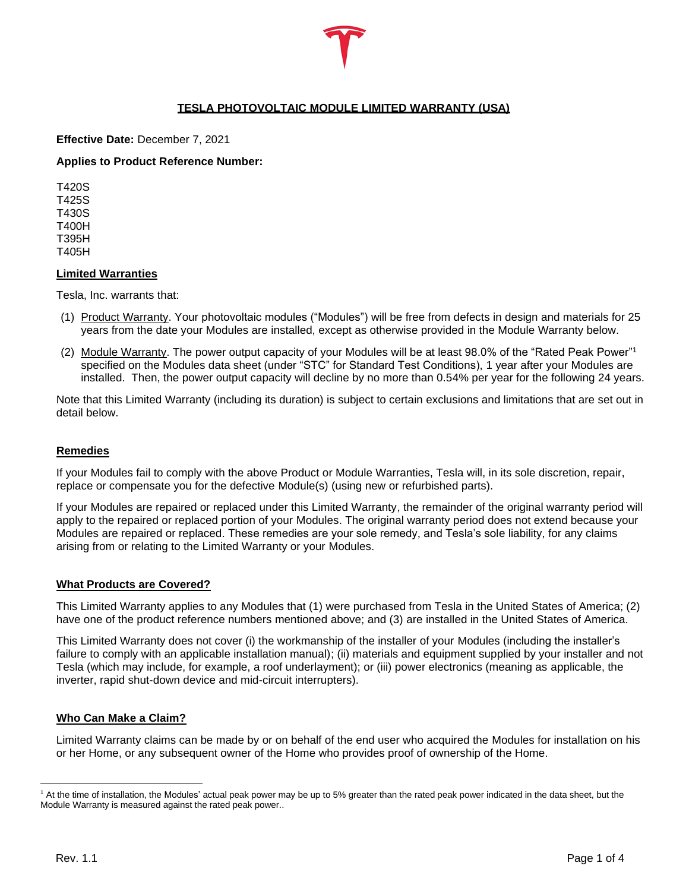# **TESLA PHOTOVOLTAIC MODULE LIMITED WARRANTY (USA)**

## **Effective Date:** December 7, 2021

## **Applies to Product Reference Number:**

T420S T425S T430S T400H T395H T405H

#### **Limited Warranties**

Tesla, Inc. warrants that:

- (1) Product Warranty. Your photovoltaic modules ("Modules") will be free from defects in design and materials for 25 years from the date your Modules are installed, except as otherwise provided in the Module Warranty below.
- (2) Module Warranty. The power output capacity of your Modules will be at least 98.0% of the "Rated Peak Power"<sup>1</sup> specified on the Modules data sheet (under "STC" for Standard Test Conditions), 1 year after your Modules are installed. Then, the power output capacity will decline by no more than 0.54% per year for the following 24 years.

Note that this Limited Warranty (including its duration) is subject to certain exclusions and limitations that are set out in detail below.

## **Remedies**

If your Modules fail to comply with the above Product or Module Warranties, Tesla will, in its sole discretion, repair, replace or compensate you for the defective Module(s) (using new or refurbished parts).

If your Modules are repaired or replaced under this Limited Warranty, the remainder of the original warranty period will apply to the repaired or replaced portion of your Modules. The original warranty period does not extend because your Modules are repaired or replaced. These remedies are your sole remedy, and Tesla's sole liability, for any claims arising from or relating to the Limited Warranty or your Modules.

## **What Products are Covered?**

This Limited Warranty applies to any Modules that (1) were purchased from Tesla in the United States of America; (2) have one of the product reference numbers mentioned above; and (3) are installed in the United States of America.

This Limited Warranty does not cover (i) the workmanship of the installer of your Modules (including the installer's failure to comply with an applicable installation manual); (ii) materials and equipment supplied by your installer and not Tesla (which may include, for example, a roof underlayment); or (iii) power electronics (meaning as applicable, the inverter, rapid shut-down device and mid-circuit interrupters).

## **Who Can Make a Claim?**

Limited Warranty claims can be made by or on behalf of the end user who acquired the Modules for installation on his or her Home, or any subsequent owner of the Home who provides proof of ownership of the Home.

<sup>1</sup> At the time of installation, the Modules' actual peak power may be up to 5% greater than the rated peak power indicated in the data sheet, but the Module Warranty is measured against the rated peak power..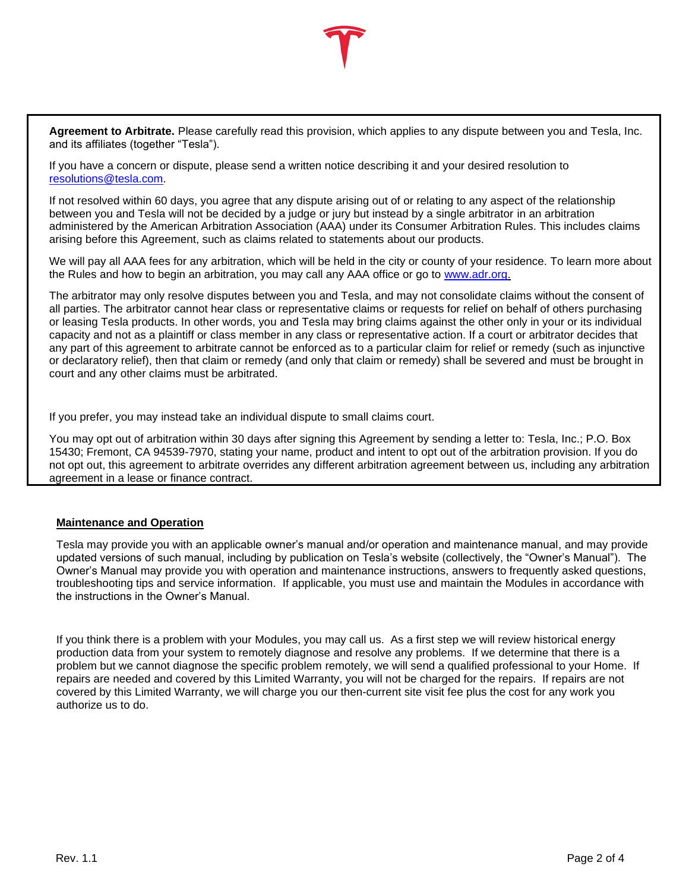**Agreement to Arbitrate.** Please carefully read this provision, which applies to any dispute between you and Tesla, Inc. and its affiliates (together "Tesla").

If you have a concern or dispute, please send a written notice describing it and your desired resolution to [resolutions@tesla.com.](mailto:energyresolutions@tesla.com)

If not resolved within 60 days, you agree that any dispute arising out of or relating to any aspect of the relationship between you and Tesla will not be decided by a judge or jury but instead by a single arbitrator in an arbitration administered by the American Arbitration Association (AAA) under its Consumer Arbitration Rules. This includes claims arising before this Agreement, such as claims related to statements about our products.

We will pay all AAA fees for any arbitration, which will be held in the city or county of your residence. To learn more about the Rules and how to begin an arbitration, you may call any AAA office or go to [www.adr.org.](http://www.adr.org/)

The arbitrator may only resolve disputes between you and Tesla, and may not consolidate claims without the consent of all parties. The arbitrator cannot hear class or representative claims or requests for relief on behalf of others purchasing or leasing Tesla products. In other words, you and Tesla may bring claims against the other only in your or its individual capacity and not as a plaintiff or class member in any class or representative action. If a court or arbitrator decides that any part of this agreement to arbitrate cannot be enforced as to a particular claim for relief or remedy (such as injunctive or declaratory relief), then that claim or remedy (and only that claim or remedy) shall be severed and must be brought in court and any other claims must be arbitrated.

If you prefer, you may instead take an individual dispute to small claims court.

You may opt out of arbitration within 30 days after signing this Agreement by sending a letter to: Tesla, Inc.; P.O. Box 15430; Fremont, CA 94539-7970, stating your name, product and intent to opt out of the arbitration provision. If you do not opt out, this agreement to arbitrate overrides any different arbitration agreement between us, including any arbitration agreement in a lease or finance contract.

## **Maintenance and Operation**

Tesla may provide you with an applicable owner's manual and/or operation and maintenance manual, and may provide updated versions of such manual, including by publication on Tesla's website (collectively, the "Owner's Manual"). The Owner's Manual may provide you with operation and maintenance instructions, answers to frequently asked questions, troubleshooting tips and service information. If applicable, you must use and maintain the Modules in accordance with the instructions in the Owner's Manual.

If you think there is a problem with your Modules, you may call us. As a first step we will review historical energy production data from your system to remotely diagnose and resolve any problems. If we determine that there is a problem but we cannot diagnose the specific problem remotely, we will send a qualified professional to your Home. If repairs are needed and covered by this Limited Warranty, you will not be charged for the repairs. If repairs are not covered by this Limited Warranty, we will charge you our then-current site visit fee plus the cost for any work you authorize us to do.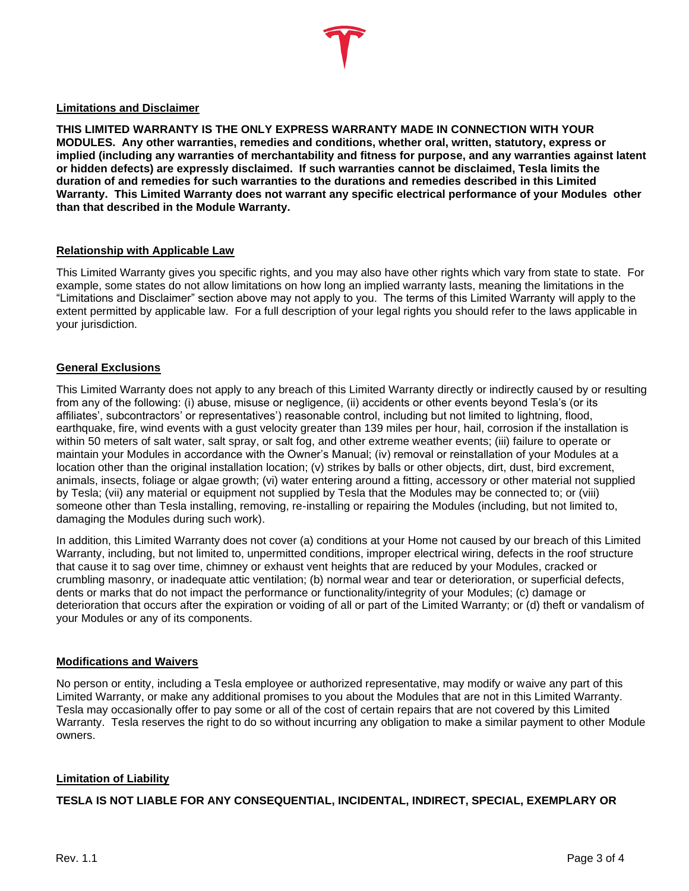**THIS LIMITED WARRANTY IS THE ONLY EXPRESS WARRANTY MADE IN CONNECTION WITH YOUR MODULES. Any other warranties, remedies and conditions, whether oral, written, statutory, express or implied (including any warranties of merchantability and fitness for purpose, and any warranties against latent or hidden defects) are expressly disclaimed. If such warranties cannot be disclaimed, Tesla limits the duration of and remedies for such warranties to the durations and remedies described in this Limited Warranty. This Limited Warranty does not warrant any specific electrical performance of your Modules other than that described in the Module Warranty.**

## **Relationship with Applicable Law**

This Limited Warranty gives you specific rights, and you may also have other rights which vary from state to state. For example, some states do not allow limitations on how long an implied warranty lasts, meaning the limitations in the "Limitations and Disclaimer" section above may not apply to you. The terms of this Limited Warranty will apply to the extent permitted by applicable law. For a full description of your legal rights you should refer to the laws applicable in your jurisdiction.

## **General Exclusions**

This Limited Warranty does not apply to any breach of this Limited Warranty directly or indirectly caused by or resulting from any of the following: (i) abuse, misuse or negligence, (ii) accidents or other events beyond Tesla's (or its affiliates', subcontractors' or representatives') reasonable control, including but not limited to lightning, flood, earthquake, fire, wind events with a gust velocity greater than 139 miles per hour, hail, corrosion if the installation is within 50 meters of salt water, salt spray, or salt fog, and other extreme weather events; (iii) failure to operate or maintain your Modules in accordance with the Owner's Manual; (iv) removal or reinstallation of your Modules at a location other than the original installation location; (v) strikes by balls or other objects, dirt, dust, bird excrement, animals, insects, foliage or algae growth; (vi) water entering around a fitting, accessory or other material not supplied by Tesla; (vii) any material or equipment not supplied by Tesla that the Modules may be connected to; or (viii) someone other than Tesla installing, removing, re-installing or repairing the Modules (including, but not limited to, damaging the Modules during such work).

In addition, this Limited Warranty does not cover (a) conditions at your Home not caused by our breach of this Limited Warranty, including, but not limited to, unpermitted conditions, improper electrical wiring, defects in the roof structure that cause it to sag over time, chimney or exhaust vent heights that are reduced by your Modules, cracked or crumbling masonry, or inadequate attic ventilation; (b) normal wear and tear or deterioration, or superficial defects, dents or marks that do not impact the performance or functionality/integrity of your Modules; (c) damage or deterioration that occurs after the expiration or voiding of all or part of the Limited Warranty; or (d) theft or vandalism of your Modules or any of its components.

## **Modifications and Waivers**

No person or entity, including a Tesla employee or authorized representative, may modify or waive any part of this Limited Warranty, or make any additional promises to you about the Modules that are not in this Limited Warranty. Tesla may occasionally offer to pay some or all of the cost of certain repairs that are not covered by this Limited Warranty. Tesla reserves the right to do so without incurring any obligation to make a similar payment to other Module owners.

## **Limitation of Liability**

**TESLA IS NOT LIABLE FOR ANY CONSEQUENTIAL, INCIDENTAL, INDIRECT, SPECIAL, EXEMPLARY OR**